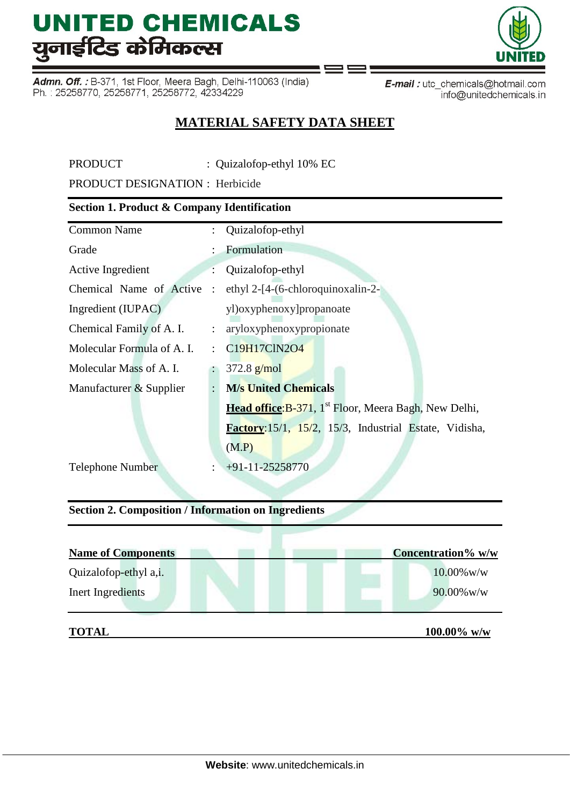Admn. Off.: B-371, 1st Floor, Meera Bagh, Delhi-110063 (India) Ph.: 25258770, 25258771, 25258772, 42334229

E-mail: utc\_chemicals@hotmail.com info@unitedchemicals.in

## **MATERIAL SAFETY DATA SHEET**

ℶ

PRODUCT : Quizalofop-ethyl 10% EC

PRODUCT DESIGNATION : Herbicide

### **Section 1. Product & Company Identification**

| <b>Common Name</b>           |                      | : Quizalofop-ethyl                                                        |  |
|------------------------------|----------------------|---------------------------------------------------------------------------|--|
| Grade                        |                      | Formulation                                                               |  |
| Active Ingredient            |                      | Quizalofop-ethyl                                                          |  |
| Chemical Name of Active :    |                      | ethyl 2-[4-(6-chloroquinoxalin-2-                                         |  |
| Ingredient (IUPAC)           |                      | yl)oxyphenoxy]propanoate                                                  |  |
| Chemical Family of A. I.     |                      | : aryloxyphenoxypropionate                                                |  |
| Molecular Formula of A. I.   |                      | C19H17ClN2O4                                                              |  |
| Molecular Mass of A. I.      |                      | $372.8$ g/mol                                                             |  |
| Manufacturer & Supplier      | $\ddot{\phantom{0}}$ | <b>M/s United Chemicals</b>                                               |  |
|                              |                      | <b>Head office: B-371</b> , 1 <sup>st</sup> Floor, Meera Bagh, New Delhi, |  |
|                              |                      | Factory: 15/1, 15/2, 15/3, Industrial Estate, Vidisha,                    |  |
|                              |                      | (M.P)                                                                     |  |
| <b>Telephone Number</b><br>÷ |                      | $+91-11-25258770$                                                         |  |

### **Section 2. Composition / Information on Ingredients**

| <b>Name of Components</b> | Concentration% w/w |
|---------------------------|--------------------|
| Quizalofop-ethyl a,i.     | $10.00\%$ w/w      |
| Inert Ingredients         | $90.00\%$ w/w      |
| <b>TOTAL</b>              | $100.00\%$ w/w     |

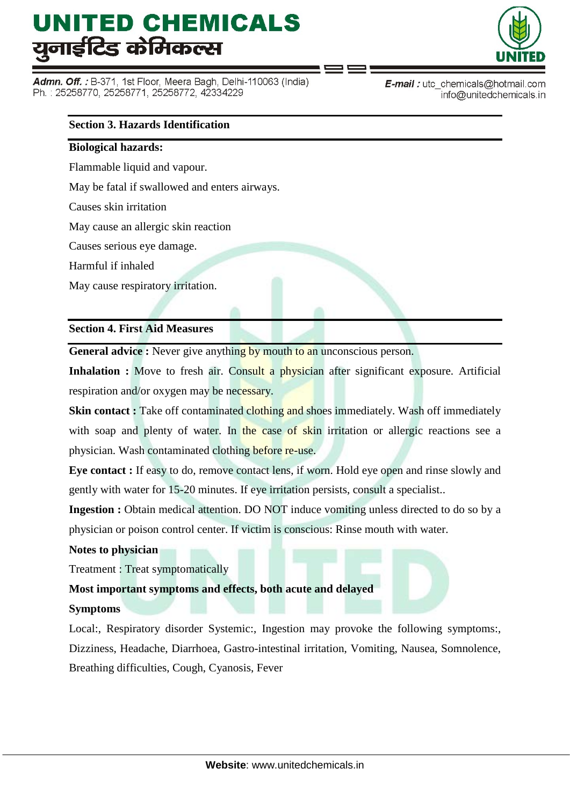Admn. Off. : B-371, 1st Floor, Meera Bagh, Delhi-110063 (India) Ph.: 25258770, 25258771, 25258772, 42334229



E-mail: utc\_chemicals@hotmail.com info@unitedchemicals.in

### **Section 3. Hazards Identification**

#### **Biological hazards:**

Flammable liquid and vapour.

May be fatal if swallowed and enters airways.

Causes skin irritation

May cause an allergic skin reaction

Causes serious eye damage.

Harmful if inhaled

May cause respiratory irritation.

#### **Section 4. First Aid Measures**

**General advice :** Never give anything by mouth to an unconscious person.

**Inhalation :** Move to fresh air. Consult a physician after significant exposure. Artificial respiration and/or oxygen may be necessary.

**Skin contact :** Take off contaminated clothing and shoes immediately. Wash off immediately with soap and plenty of water. In the case of skin irritation or allergic reactions see a physician. Wash contaminated clothing before re-use.

**Eye contact :** If easy to do, remove contact lens, if worn. Hold eye open and rinse slowly and gently with water for 15-20 minutes. If eye irritation persists, consult a specialist..

**Ingestion :** Obtain medical attention. DO NOT induce vomiting unless directed to do so by a physician or poison control center. If victim is conscious: Rinse mouth with water.

#### **Notes to physician**

Treatment : Treat symptomatically

### **Most important symptoms and effects, both acute and delayed**

#### **Symptoms**

Local:, Respiratory disorder Systemic:, Ingestion may provoke the following symptoms:, Dizziness, Headache, Diarrhoea, Gastro-intestinal irritation, Vomiting, Nausea, Somnolence, Breathing difficulties, Cough, Cyanosis, Fever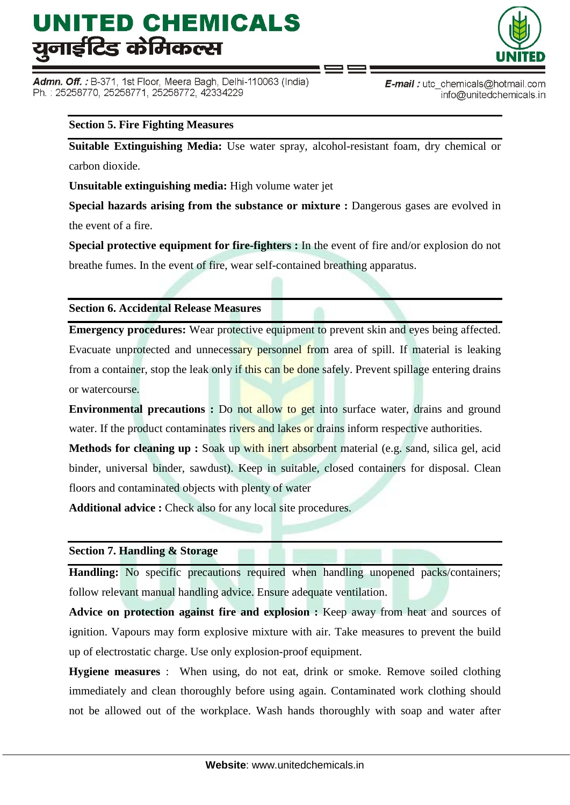Admn. Off. : B-371, 1st Floor, Meera Bagh, Delhi-110063 (India) Ph.: 25258770, 25258771, 25258772, 42334229



**E-mail**: utc chemicals@hotmail.com info@unitedchemicals.in

#### **Section 5. Fire Fighting Measures**

**Suitable Extinguishing Media:** Use water spray, alcohol-resistant foam, dry chemical or carbon dioxide.

**Unsuitable extinguishing media:** High volume water jet

**Special hazards arising from the substance or mixture :** Dangerous gases are evolved in the event of a fire.

**Special protective equipment for fire-fighters :** In the event of fire and/or explosion do not breathe fumes. In the event of fire, wear self-contained breathing apparatus.

#### **Section 6. Accidental Release Measures**

**Emergency procedures:** Wear protective equipment to prevent skin and eyes being affected. Evacuate unprotected and unnecessary personnel from area of spill. If material is leaking from a container, stop the leak only if this can be done safely. Prevent spillage entering drains or watercourse.

**Environmental precautions :** Do not allow to get into surface water, drains and ground water. If the product contaminates rivers and lakes or drains inform respective authorities.

**Methods for cleaning up :** Soak up with inert absorbent material (e.g. sand, silica gel, acid binder, universal binder, sawdust). Keep in suitable, closed containers for disposal. Clean floors and contaminated objects with plenty of water

Additional advice : Check also for any local site procedures.

#### **Section 7. Handling & Storage**

**Handling:** No specific precautions required when handling unopened packs/containers; follow relevant manual handling advice. Ensure adequate ventilation.

**Advice on protection against fire and explosion :** Keep away from heat and sources of ignition. Vapours may form explosive mixture with air. Take measures to prevent the build up of electrostatic charge. Use only explosion-proof equipment.

**Hygiene measures** : When using, do not eat, drink or smoke. Remove soiled clothing immediately and clean thoroughly before using again. Contaminated work clothing should not be allowed out of the workplace. Wash hands thoroughly with soap and water after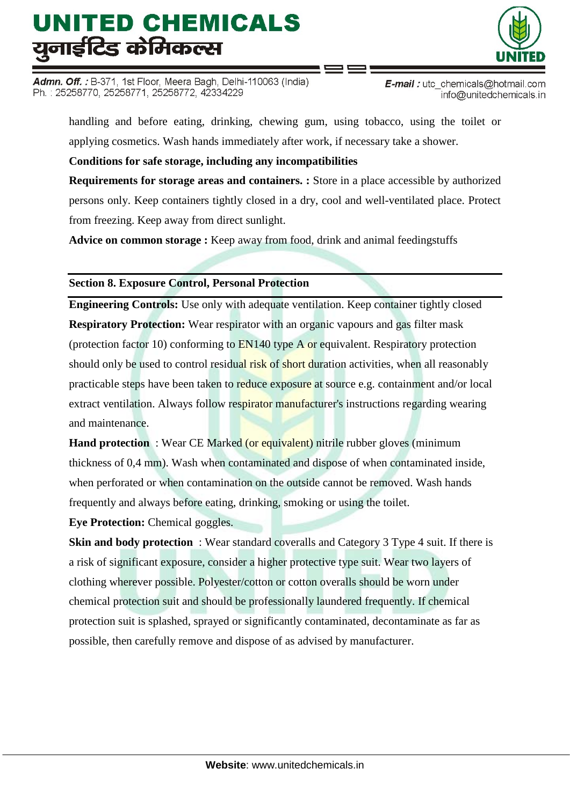Admn. Off. : B-371, 1st Floor, Meera Bagh, Delhi-110063 (India) Ph.: 25258770, 25258771, 25258772, 42334229

E-mail: utc\_chemicals@hotmail.com info@unitedchemicals.in

handling and before eating, drinking, chewing gum, using tobacco, using the toilet or applying cosmetics. Wash hands immediately after work, if necessary take a shower.

**Conditions for safe storage, including any incompatibilities**

**Requirements for storage areas and containers. :** Store in a place accessible by authorized persons only. Keep containers tightly closed in a dry, cool and well-ventilated place. Protect from freezing. Keep away from direct sunlight.

**Advice on common storage :** Keep away from food, drink and animal feedingstuffs

**Section 8. Exposure Control, Personal Protection**

**Engineering Controls:** Use only with adequate ventilation. Keep container tightly closed **Respiratory Protection:** Wear respirator with an organic vapours and gas filter mask (protection factor 10) conforming to EN140 type A or equivalent. Respiratory protection should only be used to control residual risk of short duration activities, when all reasonably practicable steps have been taken to reduce exposure at source e.g. containment and/or local extract ventilation. Always follow respirator manufacturer's instructions regarding wearing and maintenance.

**Hand protection** : Wear CE Marked (or equivalent) nitrile rubber gloves (minimum thickness of 0,4 mm). Wash when contaminated and dispose of when contaminated inside, when perforated or when contamination on the outside cannot be removed. Wash hands frequently and always before eating, drinking, smoking or using the toilet.

**Eye Protection:** Chemical goggles.

**Skin and body protection** : Wear standard coveralls and Category 3 Type 4 suit. If there is a risk of significant exposure, consider a higher protective type suit. Wear two layers of clothing wherever possible. Polyester/cotton or cotton overalls should be worn under chemical protection suit and should be professionally laundered frequently. If chemical protection suit is splashed, sprayed or significantly contaminated, decontaminate as far as possible, then carefully remove and dispose of as advised by manufacturer.

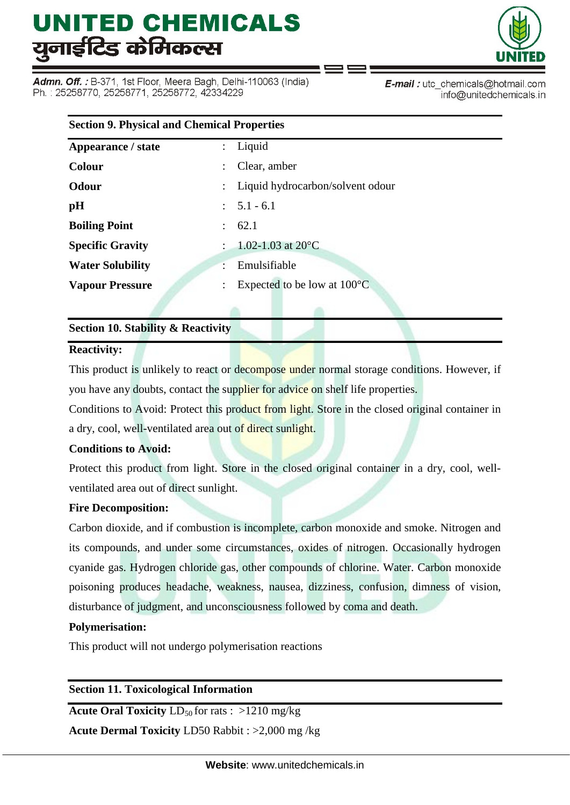Admn. Off. : B-371, 1st Floor, Meera Bagh, Delhi-110063 (India) Ph.: 25258770, 25258771, 25258772, 42334229



E-mail: utc\_chemicals@hotmail.com info@unitedchemicals.in

| <b>Section 9. Physical and Chemical Properties</b> |                                            |  |  |  |
|----------------------------------------------------|--------------------------------------------|--|--|--|
| Appearance / state                                 | Liquid<br>÷                                |  |  |  |
| <b>Colour</b>                                      | Clear, amber<br>÷                          |  |  |  |
| Odour                                              | Liquid hydrocarbon/solvent odour           |  |  |  |
| pH                                                 | $\therefore$ 5.1 - 6.1                     |  |  |  |
| <b>Boiling Point</b>                               | 62.1                                       |  |  |  |
| <b>Specific Gravity</b>                            | 1.02-1.03 at $20^{\circ}$ C                |  |  |  |
| <b>Water Solubility</b>                            | Emulsifiable                               |  |  |  |
| <b>Vapour Pressure</b>                             | Expected to be low at $100^{\circ}$ C<br>÷ |  |  |  |

### **Section 10. Stability & Reactivity**

#### **Reactivity:**

This product is unlikely to react or decompose under normal storage conditions. However, if you have any doubts, contact the supplier for advice on shelf life properties.

Conditions to Avoid: Protect this product from light. Store in the closed original container in a dry, cool, well-ventilated area out of direct sunlight.

### **Conditions to Avoid:**

Protect this product from light. Store in the closed original container in a dry, cool, wellventilated area out of direct sunlight.

### **Fire Decomposition:**

Carbon dioxide, and if combustion is incomplete, carbon monoxide and smoke. Nitrogen and its compounds, and under some circumstances, oxides of nitrogen. Occasionally hydrogen cyanide gas. Hydrogen chloride gas, other compounds of chlorine. Water. Carbon monoxide poisoning produces headache, weakness, nausea, dizziness, confusion, dimness of vision, disturbance of judgment, and unconsciousness followed by coma and death.

### **Polymerisation:**

This product will not undergo polymerisation reactions

### **Section 11. Toxicological Information**

**Acute Oral Toxicity**  $LD_{50}$  for rats :  $>1210$  mg/kg

**Acute Dermal Toxicity** LD50 Rabbit : >2,000 mg /kg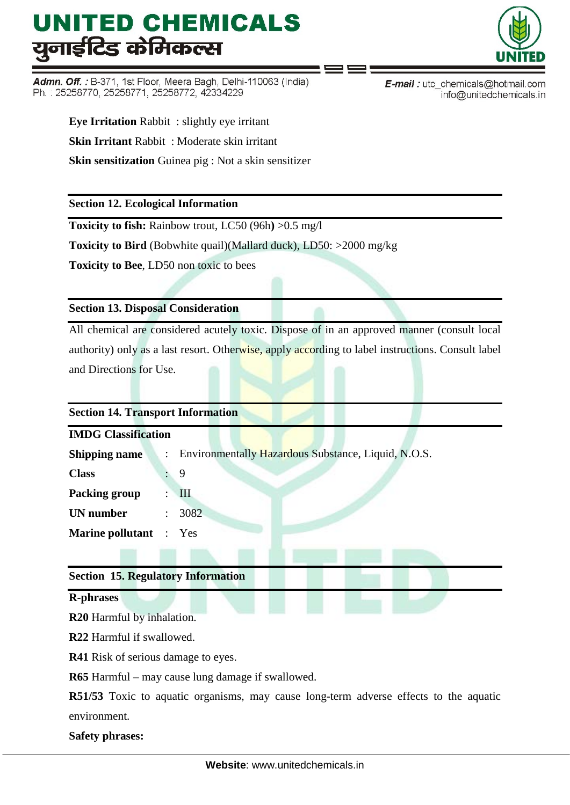Admn. Off.: B-371, 1st Floor, Meera Bagh, Delhi-110063 (India) Ph.: 25258770, 25258771, 25258772, 42334229



E-mail: utc\_chemicals@hotmail.com info@unitedchemicals.in

**Eye Irritation** Rabbit : slightly eye irritant **Skin Irritant** Rabbit : Moderate skin irritant **Skin sensitization** Guinea pig : Not a skin sensitizer

**Section 12. Ecological Information**

**Toxicity to fish:** Rainbow trout, LC50 (96h**)** >0.5 mg/l

**Toxicity to Bird** (Bobwhite quail)(Mallard duck), LD50: >2000 mg/kg

**Toxicity to Bee**, LD50 non toxic to bees

### **Section 13. Disposal Consideration**

All chemical are considered acutely toxic. Dispose of in an approved manner (consult local authority) only as a last resort. Otherwise, apply according to label instructions. Consult label and Directions for Use.

## **Section 14. Transport Information**

| <b>IMDG Classification</b>    |                      |                                                     |  |  |  |
|-------------------------------|----------------------|-----------------------------------------------------|--|--|--|
| <b>Shipping name</b>          | $\ddot{\phantom{0}}$ | Environmentally Hazardous Substance, Liquid, N.O.S. |  |  |  |
| <b>Class</b>                  |                      | 9                                                   |  |  |  |
| Packing group                 |                      | $\mathbf{III}$                                      |  |  |  |
| UN number                     | $\ddot{\phantom{0}}$ | 3082                                                |  |  |  |
| <b>Marine pollutant</b> : Yes |                      |                                                     |  |  |  |
|                               |                      |                                                     |  |  |  |

### **Section 15. Regulatory Information**

#### **R-phrases**

**R20** Harmful by inhalation.

**R22** Harmful if swallowed.

**R41** Risk of serious damage to eyes.

**R65** Harmful – may cause lung damage if swallowed.

**R51/53** Toxic to aquatic organisms, may cause long-term adverse effects to the aquatic environment.

**Safety phrases:**